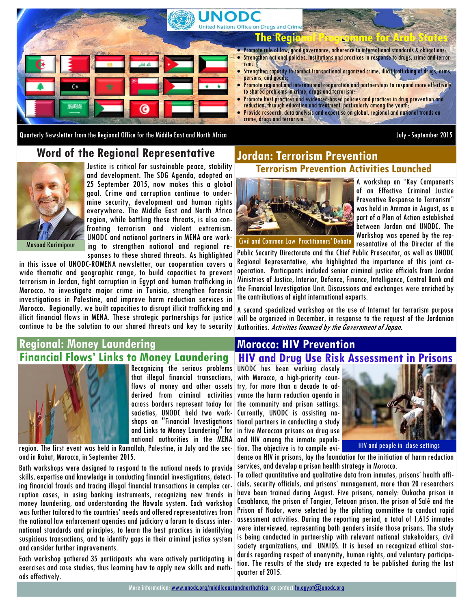

Quarterly Newsletter from the Regional Office for the Middle East and North Africa July - September 2015

## **Word of the Regional Representative**



Justice is critical for sustainable peace, stability and development. The SDG Agenda, adopted on 25 September 2015, now makes this a global goal. Crime and corruption continue to undermine security, development and human rights everywhere. The Middle East and North Africa region, while battling these threats, is also confronting terrorism and violent extremism. UNODC and national partners in MENA are working to strengthen national and regional responses to these shared threats. As highlighted

Masood Karimipour

in this issue of UNODC-ROMENA newsletter, our cooperation covers a wide thematic and geographic range, to build capacities to prevent terrorism in Jordan, fight corruption in Egypt and human trafficking in Morocco, to investigate major crime in Tunisia, strengthen forensic investigations in Palestine, and improve harm reduction services in Morocco. Regionally, we built capacities to disrupt illicit trafficking and illicit financial flows in MENA. These strategic partnerships for justice continue to be the solution to our shared threats and key to security

## **Regional: Money Laundering Financial Flows' Links to Money Laundering**



that illegal financial transactions, derived from criminal activities across borders represent today for societies, UNODC held two workshops on "Financial Investigations and Links to Money Laundering" for national authorities in the MENA

region. The first event was held in Ramallah, Palestine, in July and the second in Rabat, Morocco, in September 2015.

Both workshops were designed to respond to the national needs to provide skills, expertise and knowledge in conducting financial investigations, detecting financial frauds and tracing illegal financial transactions in complex corruption cases, in using banking instruments, recognizing new trends in money laundering, and understanding the Hawala system. Each workshop was further tailored to the countries' needs and offered representatives from the national law enforcement agencies and judiciary a forum to discuss international standards and principles, to learn the best practices in identifying suspicious transactions, and to identify gaps in their criminal justice system and consider further improvements.

Each workshop gathered 35 participants who were actively participating in exercises and case studies, thus learning how to apply new skills and methods effectively.

## **Terrorism Prevention Activities Launched Jordan: Terrorism Prevention**



A workshop on "Key Components of an Effective Criminal Justice Preventive Response to Terrorism" was held in Amman in August, as a part of a Plan of Action established between Jordan and UNODC. The Workshop was opened by the representative of the Director of the

Public Security Directorate and the Chief Public Prosecutor, as well as UNODC Regional Representative, who highlighted the importance of this joint cooperation. Participants included senior criminal justice officials from Jordan Ministries of Justice, Interior, Defence, Finance, Intelligence, Central Bank and the Financial Investigation Unit. Discussions and exchanges were enriched by the contributions of eight international experts.

A second specialized workshop on the use of Internet for terrorism purpose will be organized in December, in response to the request of the Jordanian Authorities. Activities financed by the Government of Japan.

## **Morocco: HIV Prevention**

**HIV and Drug Use Risk Assessment in Prisons**

Recognizing the serious problems UNODC has been working closely with Morocco, a high-priority counflows of money and other assets try, for more than a decade to advance the harm reduction agenda in the community and prison settings. Currently, UNODC is assisting national partners in conducting a study in five Moroccan prisons on drug use and HIV among the inmate population. The objective is to compile evi-



HIV and people in close settings

dence on HIV in prisons, lay the foundation for the initiation of harm reduction services, and develop a prison health strategy in Morocco.

To collect quantitative and qualitative data from inmates, prisons' health officials, security officials, and prisons' management, more than 20 researchers have been trained during August. Five prisons, namely: Oukacha prison in Casablanca, the prison of Tangier, Tetouan prison, the prison of Salé and the Prison of Nador, were selected by the piloting committee to conduct rapid assessment activities. During the reporting period, a total of 1,615 inmates were interviewed, representing both genders inside those prisons. The study is being conducted in partnership with relevant national stakeholders, civil society organizations, and UNAIDS. It is based on recognized ethical standards regarding respect of anonymity, human rights, and voluntary participation. The results of the study are expected to be published during the last quarter of 2015.